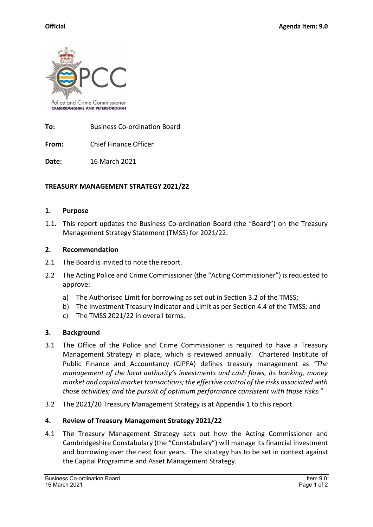

**To:** Business Co-ordination Board

**From:** Chief Finance Officer

**Date:** 16 March 2021

# **TREASURY MANAGEMENT STRATEGY 2021/22**

## **1. Purpose**

1.1. This report updates the Business Co-ordination Board (the "Board") on the Treasury Management Strategy Statement (TMSS) for 2021/22.

## **2. Recommendation**

- 2.1 The Board is invited to note the report.
- 2.2 The Acting Police and Crime Commissioner (the "Acting Commissioner") is requested to approve:
	- a) The Authorised Limit for borrowing as set out in Section 3.2 of the TMSS;
	- b) The Investment Treasury Indicator and Limit as per Section 4.4 of the TMSS; and
	- c) The TMSS 2021/22 in overall terms.

# **3. Background**

- 3.1 The Office of the Police and Crime Commissioner is required to have a Treasury Management Strategy in place, which is reviewed annually. Chartered Institute of Public Finance and Accountancy (CIPFA) defines treasury management as *"The management of the local authority's investments and cash flows, its banking, money market and capital market transactions; the effective control of the risks associated with those activities; and the pursuit of optimum performance consistent with those risks."*
- 3.2 The 2021/20 Treasury Management Strategy is at Appendix 1 to this report.

# **4. Review of Treasury Management Strategy 2021/22**

4.1 The Treasury Management Strategy sets out how the Acting Commissioner and Cambridgeshire Constabulary (the "Constabulary") will manage its financial investment and borrowing over the next four years. The strategy has to be set in context against the Capital Programme and Asset Management Strategy.